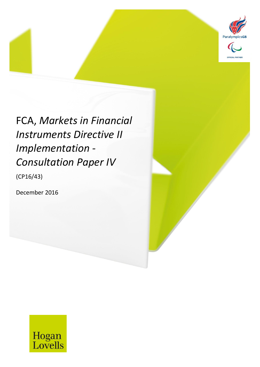

# FCA, *Markets in Financial Instruments Directive II Implementation - Consultation Paper IV*

MiFID II *31 December 2016* 1

(CP16/43)

December 2016

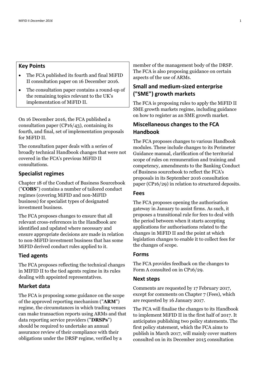# **Key Points**

- The FCA published its fourth and final MiFID II consultation paper on 16 December 2016.
- The consultation paper contains a round-up of the remaining topics relevant to the UK's implementation of MiFID II.

On 16 December 2016, the FCA published a consultation paper (CP16/43), containing its fourth, and final, set of implementation proposals for MiFID II.

The consultation paper deals with a series of broadly technical Handbook changes that were not covered in the FCA's previous MiFID II consultations.

#### **Specialist regimes**

Chapter 18 of the Conduct of Business Sourcebook ("**COBS**") contains a number of tailored conduct regimes (covering MiFID and non-MiFID business) for specialist types of designated investment business.

The FCA proposes changes to ensure that all relevant cross-references in the Handbook are identified and updated where necessary and ensure appropriate decisions are made in relation to non-MiFID investment business that has some MiFID derived conduct rules applied to it.

### **Tied agents**

The FCA proposes reflecting the technical changes in MIFID II to the tied agents regime in its rules dealing with appointed representatives.

# **Market data**

The FCA is proposing some guidance on the scope of the approved reporting mechanism ("**ARM**") regime, the circumstances in which trading venues can make transaction reports using ARMs and that data reporting service providers ("**DRSPs**") should be required to undertake an annual assurance review of their compliance with their obligations under the DRSP regime, verified by a

member of the management body of the DRSP. The FCA is also proposing guidance on certain aspects of the use of ARMs.

# **Small and medium-sized enterprise ("SME") growth markets**

The FCA is proposing rules to apply the MiFID II SME growth markets regime, including guidance on how to register as an SME growth market.

# **Miscellaneous changes to the FCA Handbook**

The FCA proposes changes to various Handbook modules. These include changes to its Perimeter Guidance manual, clarification of the territorial scope of rules on remuneration and training and competency, amendments to the Banking Conduct of Business sourcebook to reflect the FCA's proposals in its September 2016 consultation paper (CP16/29) in relation to structured deposits.

# **Fees**

The FCA proposes opening the authorisation gateway in January to assist firms. As such, it proposes a transitional rule for fees to deal with the period between when it starts accepting applications for authorisations related to the changes in MiFID II and the point at which legislation changes to enable it to collect fees for the changes of scope.

#### **Forms**

The FCA provides feedback on the changes to Form A consulted on in CP16/29.

#### **Next steps**

Comments are requested by 17 February 2017, except for comments on Chapter 7 (Fees), which are requested by 16 January 2017.

The FCA will finalise the changes to its Handbook to implement MiFID II in the first half of 2017. It anticipates publishing two policy statements. The first policy statement, which the FCA aims to publish in March 2017, will mainly cover matters consulted on in its December 2015 consultation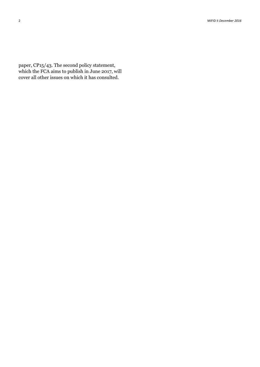paper, CP15/43. The second policy statement, which the FCA aims to publish in June 2017, will cover all other issues on which it has consulted.